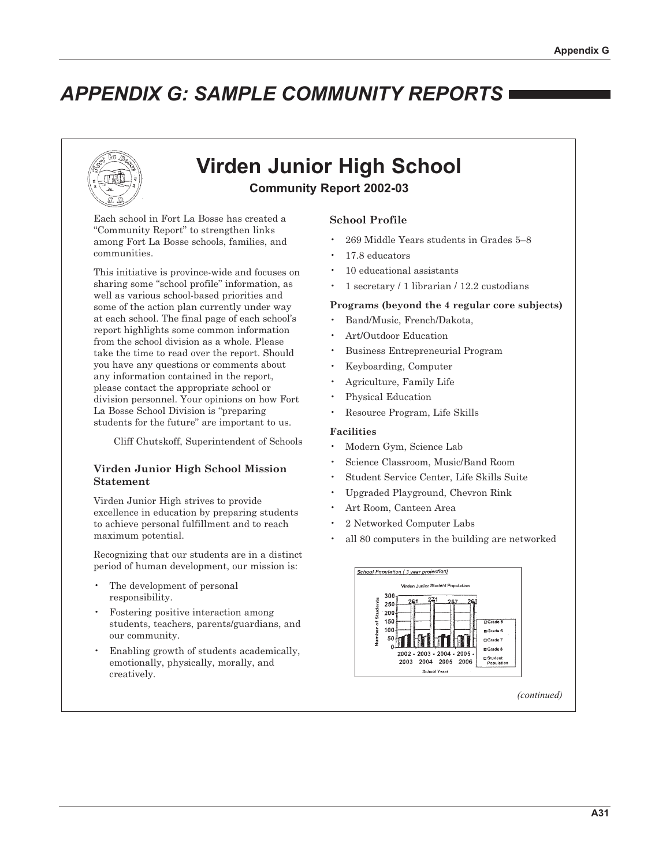# **APPENDIX G: SAMPLE COMMUNITY REPORTS**



# **Virden Junior High School**

**Community Report 2002-03** 

Each school in Fort La Bosse has created a "Community Report" to strengthen links among Fort La Bosse schools, families, and communities.

This initiative is province-wide and focuses on sharing some "school profile" information, as well as various school-based priorities and some of the action plan currently under way at each school. The final page of each school's report highlights some common information from the school division as a whole. Please take the time to read over the report. Should you have any questions or comments about any information contained in the report, please contact the appropriate school or division personnel. Your opinions on how Fort La Bosse School Division is "preparing" students for the future" are important to us.

Cliff Chutskoff, Superintendent of Schools

### Virden Junior High School Mission **Statement**

Virden Junior High strives to provide excellence in education by preparing students to achieve personal fulfillment and to reach maximum potential.

Recognizing that our students are in a distinct period of human development, our mission is:

- The development of personal responsibility.
- Fostering positive interaction among students, teachers, parents/guardians, and our community.
- Enabling growth of students academically, emotionally, physically, morally, and creatively.

## **School Profile**

- 269 Middle Years students in Grades 5-8
- 17.8 educators
- 10 educational assistants
- 1 secretary / 1 librarian / 12.2 custodians

#### Programs (beyond the 4 regular core subjects)

- Band/Music, French/Dakota,
- Art/Outdoor Education
- **Business Entrepreneurial Program**
- Keyboarding, Computer
- Agriculture, Family Life
- Physical Education
- Resource Program, Life Skills

#### **Facilities**

- Modern Gym, Science Lab
- Science Classroom, Music/Band Room
- Student Service Center, Life Skills Suite
- Upgraded Playground, Chevron Rink
- Art Room, Canteen Area
- 2 Networked Computer Labs
- all 80 computers in the building are networked



(continued)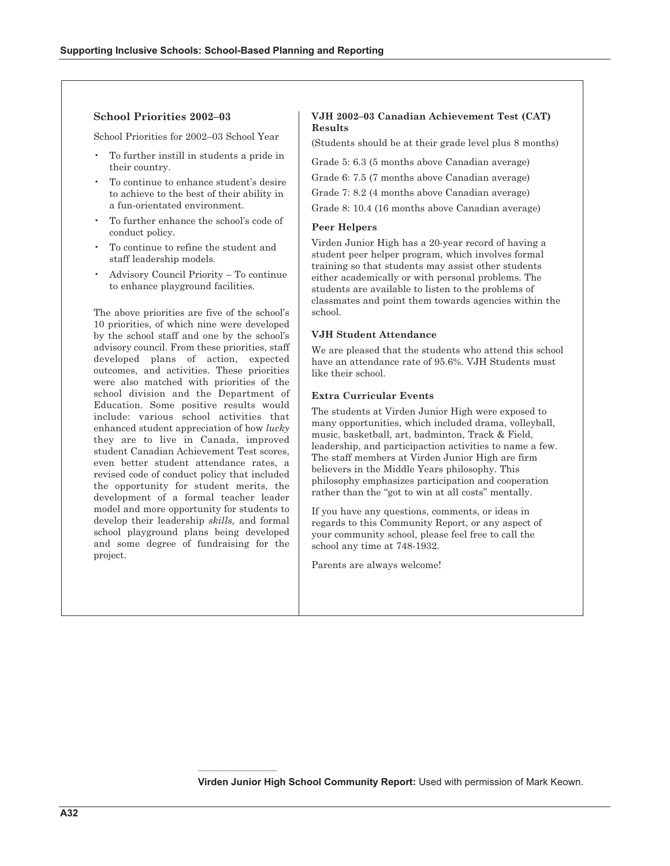#### **School Priorities 2002-03**

School Priorities for 2002–03 School Year

- To further instill in students a pride in their country.
- To continue to enhance student's desire to achieve to the best of their ability in a fun-orientated environment.
- To further enhance the school's code of conduct policy.
- To continue to refine the student and staff leadership models.
- Advisory Council Priority To continue to enhance playground facilities.

The above priorities are five of the school's 10 priorities, of which nine were developed by the school staff and one by the school's advisory council. From these priorities, staff developed plans of action, expected outcomes, and activities. These priorities were also matched with priorities of the school division and the Department of Education. Some positive results would include: various school activities that enhanced student appreciation of how lucky they are to live in Canada, improved student Canadian Achievement Test scores, even better student attendance rates, a revised code of conduct policy that included the opportunity for student merits, the development of a formal teacher leader model and more opportunity for students to develop their leadership skills, and formal school playground plans being developed and some degree of fundraising for the project.

#### VJH 2002-03 Canadian Achievement Test (CAT) Results

(Students should be at their grade level plus 8 months)

Grade 5: 6.3 (5 months above Canadian average)

Grade 6: 7.5 (7 months above Canadian average)

Grade 7: 8.2 (4 months above Canadian average)

Grade 8: 10.4 (16 months above Canadian average)

#### **Peer Helpers**

Virden Junior High has a 20-vear record of having a student peer helper program, which involves formal training so that students may assist other students either academically or with personal problems. The students are available to listen to the problems of classmates and point them towards agencies within the school.

#### **VJH Student Attendance**

We are pleased that the students who attend this school have an attendance rate of 95.6%. VJH Students must like their school.

#### **Extra Curricular Events**

The students at Virden Junior High were exposed to many opportunities, which included drama, volleyball, music, basketball, art, badminton, Track & Field, leadership, and participaction activities to name a few. The staff members at Virden Junior High are firm believers in the Middle Years philosophy. This philosophy emphasizes participation and cooperation rather than the "got to win at all costs" mentally.

If you have any questions, comments, or ideas in regards to this Community Report, or any aspect of your community school, please feel free to call the school any time at 748-1932.

Parents are always welcome!

Virden Junior High School Community Report: Used with permission of Mark Keown.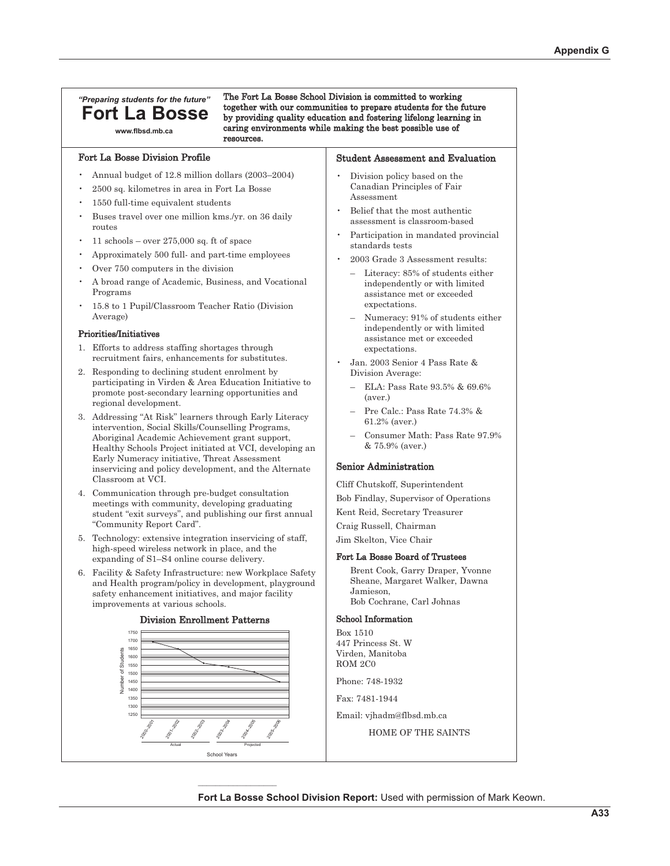## "Preparing students for the future" **Fort La Bosse**

www.flbsd.mb.ca

Fort La Bosse Division Profile

Annual budget of 12.8 million dollars (2003-2004)

resources.

- 2500 sq. kilometres in area in Fort La Bosse
- 1550 full-time equivalent students
- Buses travel over one million kms./yr. on 36 daily routes
- 11 schools over  $275,000$  sq. ft of space
- Approximately 500 full- and part-time employees
- Over 750 computers in the division
- A broad range of Academic, Business, and Vocational Programs
- 15.8 to 1 Pupil/Classroom Teacher Ratio (Division Average)

#### Priorities/Initiatives

- 1. Efforts to address staffing shortages through recruitment fairs, enhancements for substitutes.
- 2. Responding to declining student enrolment by participating in Virden & Area Education Initiative to promote post-secondary learning opportunities and regional development.
- 3. Addressing "At Risk" learners through Early Literacy intervention, Social Skills/Counselling Programs, Aboriginal Academic Achievement grant support, Healthy Schools Project initiated at VCI, developing an Early Numeracy initiative, Threat Assessment inservicing and policy development, and the Alternate Classroom at VCI.
- 4. Communication through pre-budget consultation meetings with community, developing graduating student "exit surveys", and publishing our first annual "Community Report Card".
- 5. Technology: extensive integration inservicing of staff, high-speed wireless network in place, and the expanding of S1-S4 online course delivery.
- 6. Facility & Safety Infrastructure: new Workplace Safety and Health program/policy in development, playground safety enhancement initiatives, and major facility improvements at various schools.



#### **Division Enrollment Patterns**

**Student Assessment and Evaluation** 

Division policy based on the Canadian Principles of Fair Assessment

The Fort La Bosse School Division is committed to working

together with our communities to prepare students for the future

by providing quality education and fostering lifelong learning in caring environments while making the best possible use of

- Belief that the most authentic assessment is classroom-based
- Participation in mandated provincial standards tests
- 2003 Grade 3 Assessment results:
	- Literacy: 85% of students either independently or with limited assistance met or exceeded expectations.
	- Numeracy: 91% of students either independently or with limited assistance met or exceeded expectations.
- Jan. 2003 Senior 4 Pass Rate & Division Average:
	- ELA: Pass Rate 93.5% & 69.6%  $(aver.)$
	- Pre Calc: Pass Rate 74.3% & 61.2% (aver.)
	- Consumer Math: Pass Rate 97.9% & 75.9% (aver.)

#### Senior Administration

Cliff Chutskoff, Superintendent Bob Findlay, Supervisor of Operations Kent Reid, Secretary Treasurer

Craig Russell, Chairman

Jim Skelton, Vice Chair

#### Fort La Bosse Board of Trustees

Brent Cook, Garry Draper, Yvonne Sheane, Margaret Walker, Dawna Jamieson. Bob Cochrane, Carl Johnas

#### **School Information**

Box 1510 447 Princess St. W Virden, Manitoba ROM 2C0

Phone: 748-1932

Fax: 7481-1944

Email: vjhadm@flbsd.mb.ca

HOME OF THE SAINTS

#### Fort La Bosse School Division Report: Used with permission of Mark Keown.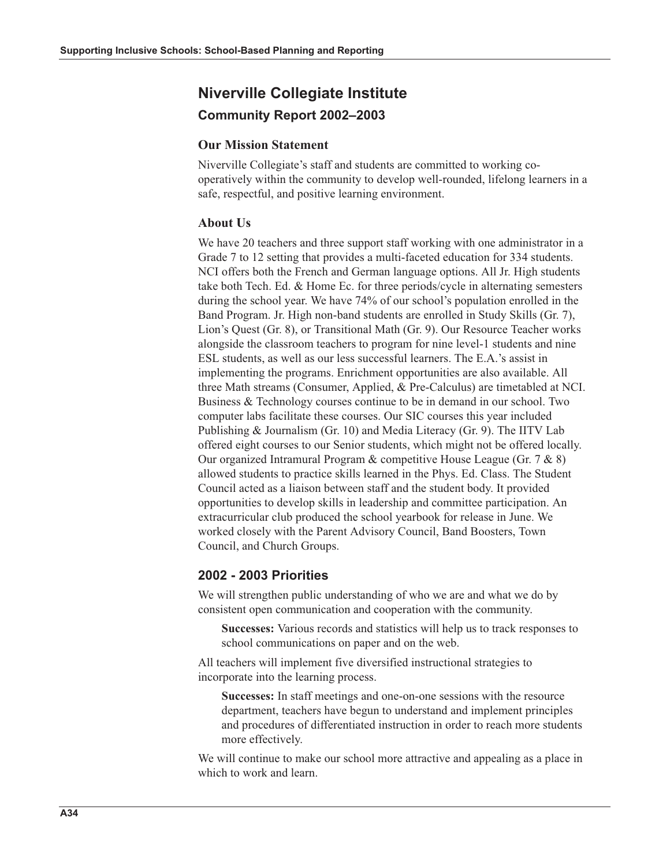## **Niverville Collegiate Institute Community Report 2002-2003**

## **Our Mission Statement**

Niverville Collegiate's staff and students are committed to working cooperatively within the community to develop well-rounded, lifelong learners in a safe, respectful, and positive learning environment.

## **About Us**

We have 20 teachers and three support staff working with one administrator in a Grade 7 to 12 setting that provides a multi-faceted education for 334 students. NCI offers both the French and German language options. All Jr. High students take both Tech. Ed.  $&$  Home Ec. for three periods/cycle in alternating semesters during the school year. We have 74% of our school's population enrolled in the Band Program. Jr. High non-band students are enrolled in Study Skills (Gr. 7), Lion's Quest (Gr. 8), or Transitional Math (Gr. 9). Our Resource Teacher works alongside the classroom teachers to program for nine level-1 students and nine ESL students, as well as our less successful learners. The E.A.'s assist in implementing the programs. Enrichment opportunities are also available. All three Math streams (Consumer, Applied, & Pre-Calculus) are timetabled at NCI. Business & Technology courses continue to be in demand in our school. Two computer labs facilitate these courses. Our SIC courses this year included Publishing & Journalism (Gr. 10) and Media Literacy (Gr. 9). The IITV Lab offered eight courses to our Senior students, which might not be offered locally. Our organized Intramural Program & competitive House League (Gr. 7 & 8) allowed students to practice skills learned in the Phys. Ed. Class. The Student Council acted as a liaison between staff and the student body. It provided opportunities to develop skills in leadership and committee participation. An extracurricular club produced the school yearbook for release in June. We worked closely with the Parent Advisory Council, Band Boosters, Town Council, and Church Groups.

## 2002 - 2003 Priorities

We will strengthen public understanding of who we are and what we do by consistent open communication and cooperation with the community.

**Successes:** Various records and statistics will help us to track responses to school communications on paper and on the web.

All teachers will implement five diversified instructional strategies to incorporate into the learning process.

Successes: In staff meetings and one-on-one sessions with the resource department, teachers have begun to understand and implement principles and procedures of differentiated instruction in order to reach more students more effectively.

We will continue to make our school more attractive and appealing as a place in which to work and learn.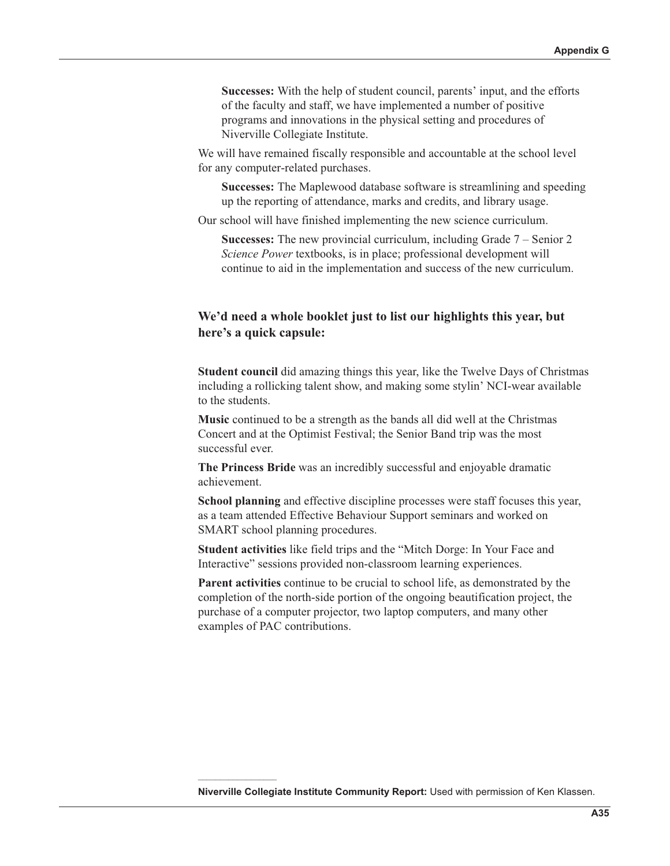**Successes:** With the help of student council, parents' input, and the efforts of the faculty and staff, we have implemented a number of positive programs and innovations in the physical setting and procedures of Niverville Collegiate Institute.

We will have remained fiscally responsible and accountable at the school level for any computer-related purchases.

**Successes:** The Maplewood database software is streamlining and speeding up the reporting of attendance, marks and credits, and library usage.

Our school will have finished implementing the new science curriculum.

**Successes:** The new provincial curriculum, including Grade  $7 -$  Senior 2 Science Power textbooks, is in place; professional development will continue to aid in the implementation and success of the new curriculum.

## We'd need a whole booklet just to list our highlights this year, but here's a quick capsule:

Student council did amazing things this year, like the Twelve Days of Christmas including a rollicking talent show, and making some stylin' NCI-wear available to the students.

Music continued to be a strength as the bands all did well at the Christmas Concert and at the Optimist Festival; the Senior Band trip was the most successful ever.

The Princess Bride was an incredibly successful and enjoyable dramatic achievement.

**School planning** and effective discipline processes were staff focuses this year, as a team attended Effective Behaviour Support seminars and worked on SMART school planning procedures.

**Student activities** like field trips and the "Mitch Dorge: In Your Face and Interactive" sessions provided non-classroom learning experiences.

Parent activities continue to be crucial to school life, as demonstrated by the completion of the north-side portion of the ongoing beautification project, the purchase of a computer projector, two laptop computers, and many other examples of PAC contributions.